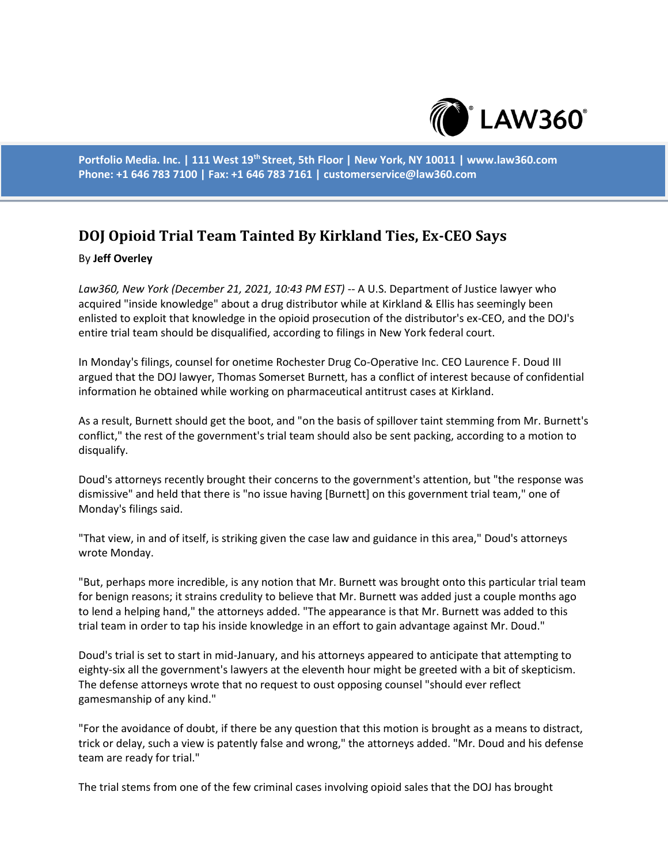

**Portfolio Media. Inc. | 111 West 19th Street, 5th Floor | New York, NY 10011 | www.law360.com Phone: +1 646 783 7100 | Fax: +1 646 783 7161 | customerservice@law360.com**

## **DOJ Opioid Trial Team Tainted By Kirkland Ties, Ex-CEO Says**

## By **Jeff Overley**

*Law360, New York (December 21, 2021, 10:43 PM EST)* -- A U.S. Department of Justice lawyer who acquired "inside knowledge" about a drug distributor while at Kirkland & Ellis has seemingly been enlisted to exploit that knowledge in the opioid prosecution of the distributor's ex-CEO, and the DOJ's entire trial team should be disqualified, according to filings in New York federal court.

In Monday's filings, counsel for onetime Rochester Drug Co-Operative Inc. CEO Laurence F. Doud III argued that the DOJ lawyer, Thomas Somerset Burnett, has a conflict of interest because of confidential information he obtained while working on pharmaceutical antitrust cases at Kirkland.

As a result, Burnett should get the boot, and "on the basis of spillover taint stemming from Mr. Burnett's conflict," the rest of the government's trial team should also be sent packing, according to a motion to disqualify.

Doud's attorneys recently brought their concerns to the government's attention, but "the response was dismissive" and held that there is "no issue having [Burnett] on this government trial team," one of Monday's filings said.

"That view, in and of itself, is striking given the case law and guidance in this area," Doud's attorneys wrote Monday.

"But, perhaps more incredible, is any notion that Mr. Burnett was brought onto this particular trial team for benign reasons; it strains credulity to believe that Mr. Burnett was added just a couple months ago to lend a helping hand," the attorneys added. "The appearance is that Mr. Burnett was added to this trial team in order to tap his inside knowledge in an effort to gain advantage against Mr. Doud."

Doud's trial is set to start in mid-January, and his attorneys appeared to anticipate that attempting to eighty-six all the government's lawyers at the eleventh hour might be greeted with a bit of skepticism. The defense attorneys wrote that no request to oust opposing counsel "should ever reflect gamesmanship of any kind."

"For the avoidance of doubt, if there be any question that this motion is brought as a means to distract, trick or delay, such a view is patently false and wrong," the attorneys added. "Mr. Doud and his defense team are ready for trial."

The trial stems from one of the few criminal cases involving opioid sales that the DOJ has brought